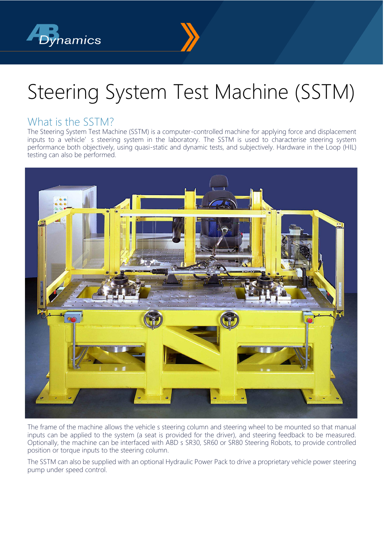



# Steering System Test Machine (SSTM)

#### What is the SSTM?

The Steering System Test Machine (SSTM) is a computer-controlled machine for applying force and displacement inputs to a vehicle's steering system in the laboratory. The SSTM is used to characterise steering system performance both objectively, using quasi-static and dynamic tests, and subjectively. Hardware in the Loop (HIL) testing can also be performed.



The frame of the machine allows the vehicle s steering column and steering wheel to be mounted so that manual inputs can be applied to the system (a seat is provided for the driver), and steering feedback to be measured. Optionally, the machine can be interfaced with ABD s SR30, SR60 or SR80 Steering Robots, to provide controlled position or torque inputs to the steering column.

The SSTM can also be supplied with an optional Hydraulic Power Pack to drive a proprietary vehicle power steering pump under speed control.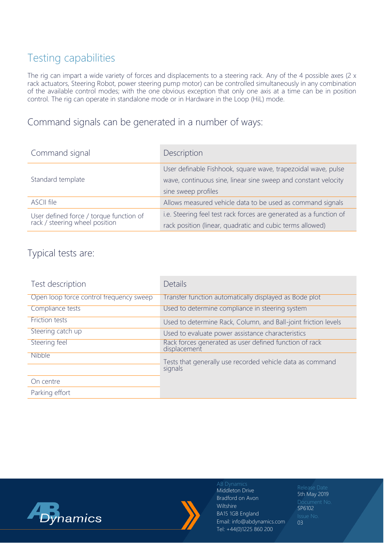# Testing capabilities

The rig can impart a wide variety of forces and displacements to a steering rack. Any of the 4 possible axes (2 x rack actuators, Steering Robot, power steering pump motor) can be controlled simultaneously in any combination of the available control modes; with the one obvious exception that only one axis at a time can be in position control. The rig can operate in standalone mode or in Hardware in the Loop (HiL) mode.

Command signals can be generated in a number of ways:

| Command signal                                                            | Description                                                        |  |
|---------------------------------------------------------------------------|--------------------------------------------------------------------|--|
| Standard template                                                         | User definable Fishhook, square wave, trapezoidal wave, pulse      |  |
|                                                                           | wave, continuous sine, linear sine sweep and constant velocity     |  |
|                                                                           | sine sweep profiles                                                |  |
| <b>ASCII file</b>                                                         | Allows measured vehicle data to be used as command signals         |  |
| User defined force / torque function of<br>rack / steering wheel position | i.e. Steering feel test rack forces are generated as a function of |  |
|                                                                           | rack position (linear, quadratic and cubic terms allowed)          |  |

#### Typical tests are:

| Test description                        | <b>Details</b>                                                         |  |
|-----------------------------------------|------------------------------------------------------------------------|--|
| Open loop force control frequency sweep | Transfer function automatically displayed as Bode plot                 |  |
| Compliance tests                        | Used to determine compliance in steering system                        |  |
| <b>Friction tests</b>                   | Used to determine Rack, Column, and Ball-joint friction levels         |  |
| Steering catch up                       | Used to evaluate power assistance characteristics                      |  |
| Steering feel                           | Rack forces generated as user defined function of rack<br>displacement |  |
| Nibble                                  | Tests that generally use recorded vehicle data as command<br>signals   |  |
| On centre                               |                                                                        |  |
| Parking effort                          |                                                                        |  |





Middleton Drive Bradford on Avon Wiltshire BA15 1GB England Email: info@abdynamics.com Tel: +44(0)1225 860 200

5th May 2019 SP6102 03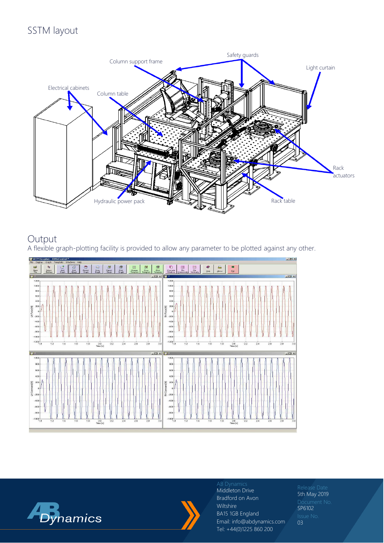# SSTM layout



## Output

A flexible graph-plotting facility is provided to allow any parameter to be plotted against any other.







### Middleton Drive

Bradford on Avon Wiltshire BA15 1GB England Email: info@abdynamics.com Tel: +44(0)1225 860 200

5th May 2019 SP6102 03